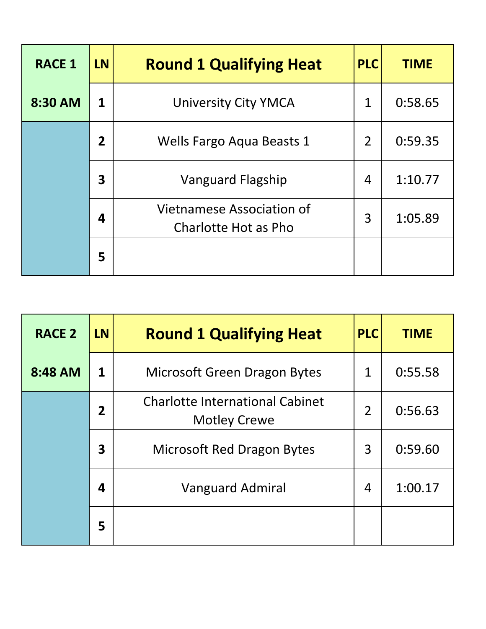| <b>RACE 1</b> | <b>LN</b>               | <b>Round 1 Qualifying Heat</b>                    | <b>PLC</b>     | <b>TIME</b> |
|---------------|-------------------------|---------------------------------------------------|----------------|-------------|
| 8:30 AM       | 1                       | <b>University City YMCA</b>                       | 1              | 0:58.65     |
|               | $\overline{2}$          | Wells Fargo Aqua Beasts 1                         | $\overline{2}$ | 0:59.35     |
|               | $\overline{\mathbf{3}}$ | <b>Vanguard Flagship</b>                          | 4              | 1:10.77     |
|               | 4                       | Vietnamese Association of<br>Charlotte Hot as Pho | 3              | 1:05.89     |
|               | 5                       |                                                   |                |             |

| <b>RACE 2</b> | <b>LN</b>               | <b>Round 1 Qualifying Heat</b>                                | <b>PLC</b>     | <b>TIME</b> |
|---------------|-------------------------|---------------------------------------------------------------|----------------|-------------|
| 8:48 AM       | $\mathbf{1}$            | <b>Microsoft Green Dragon Bytes</b>                           | 1              | 0:55.58     |
|               | $\overline{2}$          | <b>Charlotte International Cabinet</b><br><b>Motley Crewe</b> | $\overline{2}$ | 0:56.63     |
|               | $\overline{\mathbf{3}}$ | <b>Microsoft Red Dragon Bytes</b>                             | 3              | 0:59.60     |
|               | $\boldsymbol{4}$        | <b>Vanguard Admiral</b>                                       | 4              | 1:00.17     |
|               | 5                       |                                                               |                |             |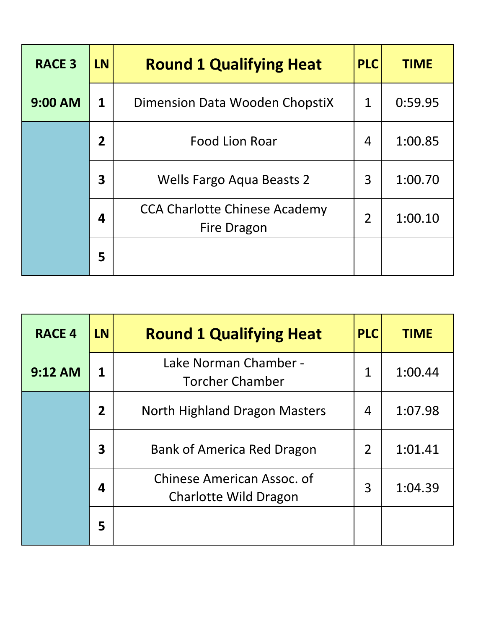| <b>RACE 3</b>  | <b>LN</b>      | <b>Round 1 Qualifying Heat</b>                             | <b>PLC</b>     | <b>TIME</b> |
|----------------|----------------|------------------------------------------------------------|----------------|-------------|
| <b>9:00 AM</b> | $\mathbf{1}$   | Dimension Data Wooden ChopstiX                             | 1              | 0:59.95     |
|                | $\overline{2}$ | <b>Food Lion Roar</b>                                      | $\overline{4}$ | 1:00.85     |
|                | $\mathbf{3}$   | <b>Wells Fargo Aqua Beasts 2</b>                           | 3              | 1:00.70     |
|                | 4              | <b>CCA Charlotte Chinese Academy</b><br><b>Fire Dragon</b> | $\overline{2}$ | 1:00.10     |
|                | 5              |                                                            |                |             |

| <b>RACE 4</b> | <b>LN</b>               | <b>Round 1 Qualifying Heat</b>                      | <b>PLC</b>     | <b>TIME</b> |
|---------------|-------------------------|-----------------------------------------------------|----------------|-------------|
| 9:12 AM       | 1                       | Lake Norman Chamber -<br><b>Torcher Chamber</b>     | $\mathbf{1}$   | 1:00.44     |
|               | $\overline{2}$          | North Highland Dragon Masters                       | 4              | 1:07.98     |
|               | $\overline{\mathbf{3}}$ | Bank of America Red Dragon                          | $\overline{2}$ | 1:01.41     |
|               | 4                       | Chinese American Assoc. of<br>Charlotte Wild Dragon | 3              | 1:04.39     |
|               | 5                       |                                                     |                |             |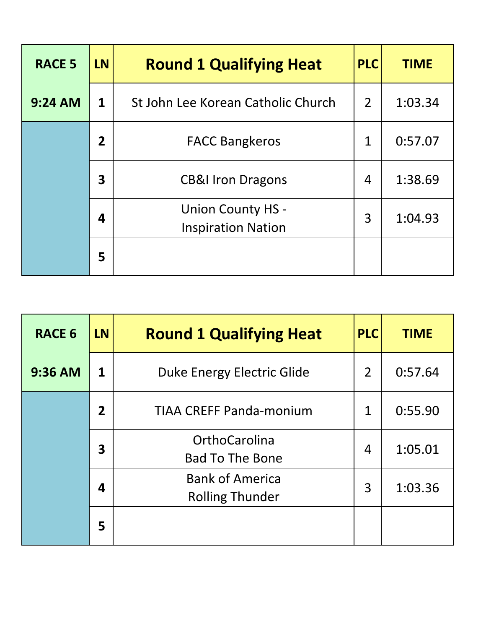| <b>RACE 5</b>  | <b>LN</b>      | <b>Round 1 Qualifying Heat</b>                        | <b>PLC</b>     | <b>TIME</b> |
|----------------|----------------|-------------------------------------------------------|----------------|-------------|
| <b>9:24 AM</b> | $\mathbf 1$    | St John Lee Korean Catholic Church                    | $\overline{2}$ | 1:03.34     |
|                | $\overline{2}$ | <b>FACC Bangkeros</b>                                 | $\mathbf 1$    | 0:57.07     |
|                | 3              | <b>CB&amp;I Iron Dragons</b>                          | 4              | 1:38.69     |
|                | 4              | <b>Union County HS -</b><br><b>Inspiration Nation</b> | 3              | 1:04.93     |
|                | 5              |                                                       |                |             |

| <b>RACE 6</b> | <b>LN</b>      | <b>Round 1 Qualifying Heat</b>                   | <b>PLC</b>     | <b>TIME</b> |
|---------------|----------------|--------------------------------------------------|----------------|-------------|
| $9:36$ AM     | 1              | <b>Duke Energy Electric Glide</b>                | $\overline{2}$ | 0:57.64     |
|               | $\overline{2}$ | <b>TIAA CREFF Panda-monium</b>                   | 1              | 0:55.90     |
|               | 3              | OrthoCarolina<br><b>Bad To The Bone</b>          | 4              | 1:05.01     |
|               | 4              | <b>Bank of America</b><br><b>Rolling Thunder</b> | 3              | 1:03.36     |
|               | 5              |                                                  |                |             |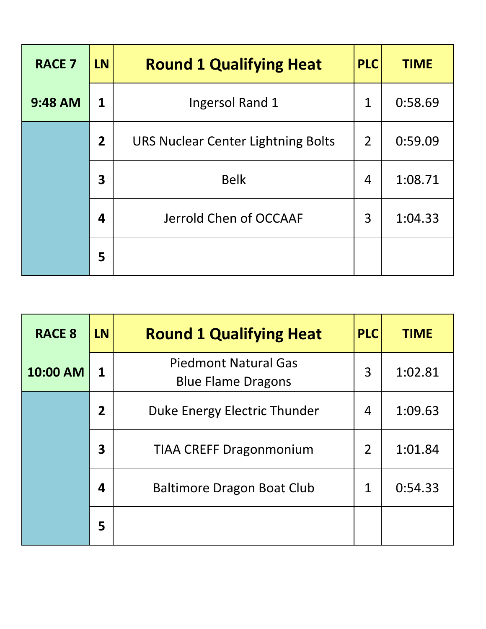| <b>RACE 7</b>  | <b>LN</b>               | <b>Round 1 Qualifying Heat</b>            | <b>PLC</b>     | <b>TIME</b> |
|----------------|-------------------------|-------------------------------------------|----------------|-------------|
| <b>9:48 AM</b> | 1                       | Ingersol Rand 1                           | $\mathbf 1$    | 0:58.69     |
|                | $\overline{2}$          | <b>URS Nuclear Center Lightning Bolts</b> | $\overline{2}$ | 0:59.09     |
|                | $\overline{\mathbf{3}}$ | <b>Belk</b>                               | 4              | 1:08.71     |
|                | 4                       | Jerrold Chen of OCCAAF                    | 3              | 1:04.33     |
|                | 5                       |                                           |                |             |

| <b>RACE 8</b> | <b>LN</b>               | <b>Round 1 Qualifying Heat</b>                           | <b>PLC</b>     | <b>TIME</b> |
|---------------|-------------------------|----------------------------------------------------------|----------------|-------------|
| 10:00 AM      | 1                       | <b>Piedmont Natural Gas</b><br><b>Blue Flame Dragons</b> | 3              | 1:02.81     |
|               | $\overline{2}$          | Duke Energy Electric Thunder                             | 4              | 1:09.63     |
|               | $\overline{\mathbf{3}}$ | <b>TIAA CREFF Dragonmonium</b>                           | $\overline{2}$ | 1:01.84     |
|               | 4                       | Baltimore Dragon Boat Club                               | $\mathbf 1$    | 0:54.33     |
|               | 5                       |                                                          |                |             |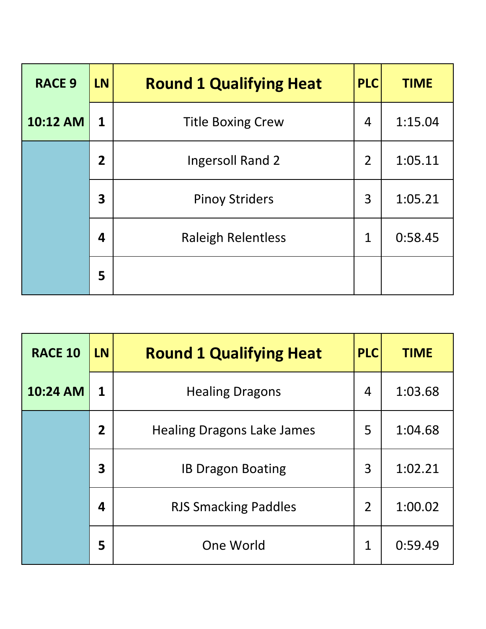| <b>RACE 9</b> | <b>LN</b>               | <b>Round 1 Qualifying Heat</b> | <b>PLC</b>     | <b>TIME</b> |
|---------------|-------------------------|--------------------------------|----------------|-------------|
| 10:12 AM      | $\mathbf{1}$            | <b>Title Boxing Crew</b>       | 4              | 1:15.04     |
|               | $\overline{2}$          | Ingersoll Rand 2               | $\overline{2}$ | 1:05.11     |
|               | $\overline{\mathbf{3}}$ | <b>Pinoy Striders</b>          | 3              | 1:05.21     |
|               | 4                       | <b>Raleigh Relentless</b>      | $\mathbf{1}$   | 0:58.45     |
|               | 5                       |                                |                |             |

| <b>RACE 10</b> | <b>LN</b>               | <b>Round 1 Qualifying Heat</b>    | <b>PLC</b>     | <b>TIME</b> |
|----------------|-------------------------|-----------------------------------|----------------|-------------|
| 10:24 AM       | 1                       | <b>Healing Dragons</b>            | 4              | 1:03.68     |
|                | $\overline{2}$          | <b>Healing Dragons Lake James</b> | 5              | 1:04.68     |
|                | $\overline{\mathbf{3}}$ | <b>IB Dragon Boating</b>          | 3              | 1:02.21     |
|                | 4                       | <b>RJS Smacking Paddles</b>       | $\overline{2}$ | 1:00.02     |
|                | 5                       | One World                         | $\mathbf 1$    | 0:59.49     |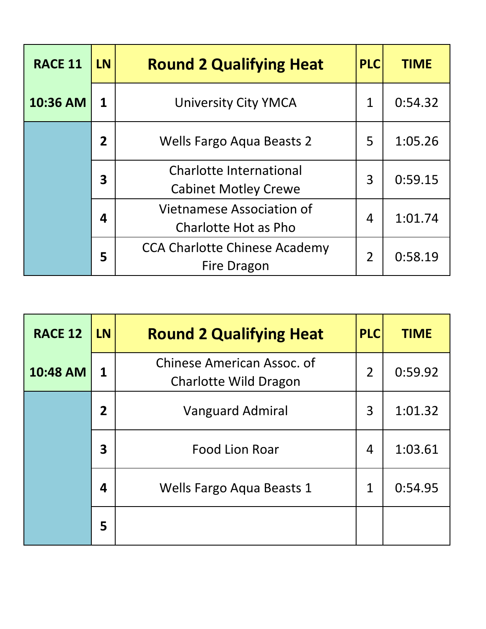| <b>RACE 11</b> | <b>LN</b>      | <b>Round 2 Qualifying Heat</b>                                | <b>PLC</b>     | <b>TIME</b> |
|----------------|----------------|---------------------------------------------------------------|----------------|-------------|
| 10:36 AM       | 1              | <b>University City YMCA</b>                                   | $\mathbf 1$    | 0:54.32     |
|                | $\overline{2}$ | <b>Wells Fargo Aqua Beasts 2</b>                              | 5              | 1:05.26     |
|                | 3              | <b>Charlotte International</b><br><b>Cabinet Motley Crewe</b> | 3              | 0:59.15     |
|                | 4              | Vietnamese Association of<br>Charlotte Hot as Pho             | 4              | 1:01.74     |
|                | 5              | <b>CCA Charlotte Chinese Academy</b><br><b>Fire Dragon</b>    | $\overline{2}$ | 0:58.19     |

| <b>RACE 12</b> | <b>LN</b>      | <b>Round 2 Qualifying Heat</b>                             | <b>PLC</b>     | <b>TIME</b> |
|----------------|----------------|------------------------------------------------------------|----------------|-------------|
| 10:48 AM       | 1              | Chinese American Assoc. of<br><b>Charlotte Wild Dragon</b> | $\overline{2}$ | 0:59.92     |
|                | $\overline{2}$ | <b>Vanguard Admiral</b>                                    | 3              | 1:01.32     |
|                | 3              | <b>Food Lion Roar</b>                                      | 4              | 1:03.61     |
|                | 4              | Wells Fargo Aqua Beasts 1                                  | $\mathbf 1$    | 0:54.95     |
|                | 5              |                                                            |                |             |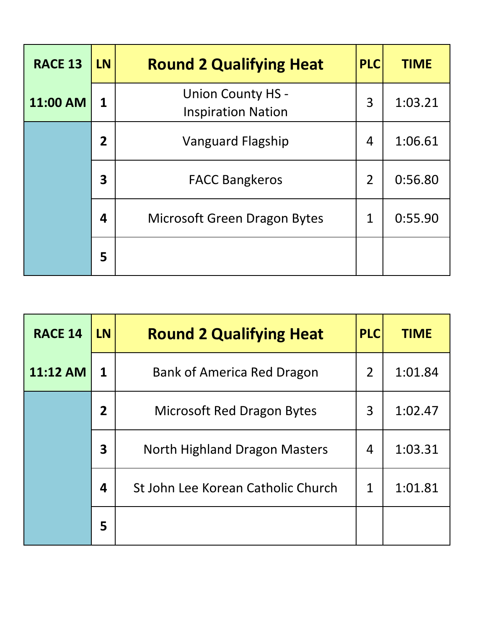| <b>RACE 13</b> | <b>LN</b>    | <b>Round 2 Qualifying Heat</b>                        | <b>PLC</b>     | <b>TIME</b> |
|----------------|--------------|-------------------------------------------------------|----------------|-------------|
| 11:00 AM       | 1            | <b>Union County HS -</b><br><b>Inspiration Nation</b> | 3              | 1:03.21     |
|                | $\mathbf{2}$ | <b>Vanguard Flagship</b>                              | $\overline{4}$ | 1:06.61     |
|                | 3            | <b>FACC Bangkeros</b>                                 | $\overline{2}$ | 0:56.80     |
|                | 4            | <b>Microsoft Green Dragon Bytes</b>                   | $\mathbf 1$    | 0:55.90     |
|                | 5            |                                                       |                |             |

| <b>RACE 14</b> | <b>LN</b>               | <b>Round 2 Qualifying Heat</b>     | <b>PLC</b>     | <b>TIME</b> |
|----------------|-------------------------|------------------------------------|----------------|-------------|
| 11:12 AM       | $\mathbf{1}$            | Bank of America Red Dragon         | $\overline{2}$ | 1:01.84     |
|                | $\overline{2}$          | Microsoft Red Dragon Bytes         | 3              | 1:02.47     |
|                | $\overline{\mathbf{3}}$ | North Highland Dragon Masters      | 4              | 1:03.31     |
|                | 4                       | St John Lee Korean Catholic Church | $\mathbf 1$    | 1:01.81     |
|                | 5                       |                                    |                |             |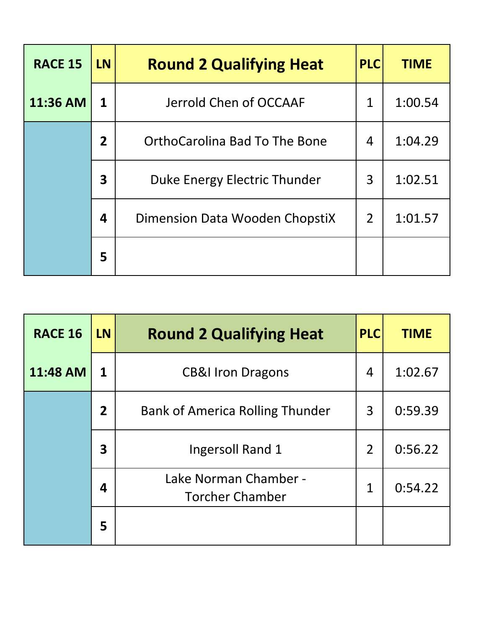| <b>RACE 15</b> | <b>LN</b>      | <b>Round 2 Qualifying Heat</b> | <b>PLC</b>     | <b>TIME</b> |
|----------------|----------------|--------------------------------|----------------|-------------|
| 11:36 AM       | 1              | Jerrold Chen of OCCAAF         | 1              | 1:00.54     |
|                | 2 <sup>1</sup> | OrthoCarolina Bad To The Bone  | 4              | 1:04.29     |
|                | 3              | Duke Energy Electric Thunder   | 3              | 1:02.51     |
|                | 4              | Dimension Data Wooden ChopstiX | $\overline{2}$ | 1:01.57     |
|                | 5              |                                |                |             |

| <b>RACE 16</b> | <b>LN</b>               | <b>Round 2 Qualifying Heat</b>                  | <b>PLC</b>     | <b>TIME</b> |
|----------------|-------------------------|-------------------------------------------------|----------------|-------------|
| 11:48 AM       | 1                       | <b>CB&amp;I Iron Dragons</b>                    | $\overline{4}$ | 1:02.67     |
|                | $\overline{2}$          | <b>Bank of America Rolling Thunder</b>          | 3              | 0:59.39     |
|                | $\overline{\mathbf{3}}$ | Ingersoll Rand 1                                | $\overline{2}$ | 0:56.22     |
|                | $\boldsymbol{4}$        | Lake Norman Chamber -<br><b>Torcher Chamber</b> | 1              | 0:54.22     |
|                | 5                       |                                                 |                |             |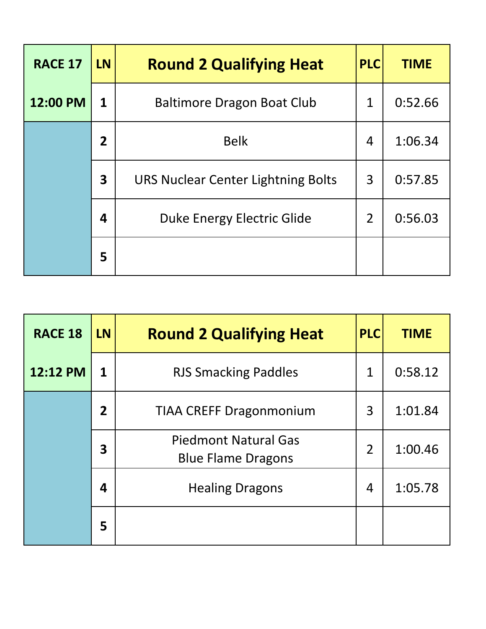| <b>RACE 17</b> | <b>LN</b>      | <b>Round 2 Qualifying Heat</b>     | <b>PLC</b>     | <b>TIME</b> |
|----------------|----------------|------------------------------------|----------------|-------------|
| 12:00 PM       | $\mathbf 1$    | <b>Baltimore Dragon Boat Club</b>  | $\mathbf 1$    | 0:52.66     |
|                | $\overline{2}$ | <b>Belk</b>                        | 4              | 1:06.34     |
|                | 3              | URS Nuclear Center Lightning Bolts | 3              | 0:57.85     |
|                | 4              | <b>Duke Energy Electric Glide</b>  | $\overline{2}$ | 0:56.03     |
|                | 5              |                                    |                |             |

| <b>RACE 18</b> | <b>LN</b>      | <b>Round 2 Qualifying Heat</b>                           | <b>PLC</b>     | <b>TIME</b> |
|----------------|----------------|----------------------------------------------------------|----------------|-------------|
| 12:12 PM       | 1              | <b>RJS Smacking Paddles</b>                              | 1              | 0:58.12     |
|                | $\overline{2}$ | <b>TIAA CREFF Dragonmonium</b>                           | 3              | 1:01.84     |
|                | 3              | <b>Piedmont Natural Gas</b><br><b>Blue Flame Dragons</b> | $\overline{2}$ | 1:00.46     |
|                | 4              | <b>Healing Dragons</b>                                   | 4              | 1:05.78     |
|                | 5              |                                                          |                |             |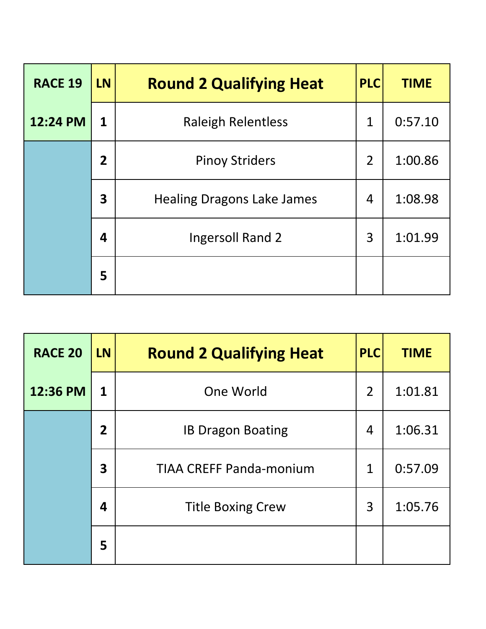| <b>RACE 19</b> | <b>LN</b>      | <b>Round 2 Qualifying Heat</b>    | <b>PLC</b>     | <b>TIME</b> |
|----------------|----------------|-----------------------------------|----------------|-------------|
| 12:24 PM       | 1              | <b>Raleigh Relentless</b>         | $\overline{1}$ | 0:57.10     |
|                | $\overline{2}$ | <b>Pinoy Striders</b>             | $\overline{2}$ | 1:00.86     |
|                | 3              | <b>Healing Dragons Lake James</b> | 4              | 1:08.98     |
|                | 4              | <b>Ingersoll Rand 2</b>           | 3              | 1:01.99     |
|                | 5              |                                   |                |             |

| <b>RACE 20</b> | <b>LN</b>      | <b>Round 2 Qualifying Heat</b> | <b>PLC</b>     | <b>TIME</b> |
|----------------|----------------|--------------------------------|----------------|-------------|
| 12:36 PM       | 1              | One World                      | $\overline{2}$ | 1:01.81     |
|                | $\overline{2}$ | <b>IB Dragon Boating</b>       | 4              | 1:06.31     |
|                | 3              | <b>TIAA CREFF Panda-monium</b> | $\mathbf 1$    | 0:57.09     |
|                | 4              | <b>Title Boxing Crew</b>       | 3              | 1:05.76     |
|                | 5              |                                |                |             |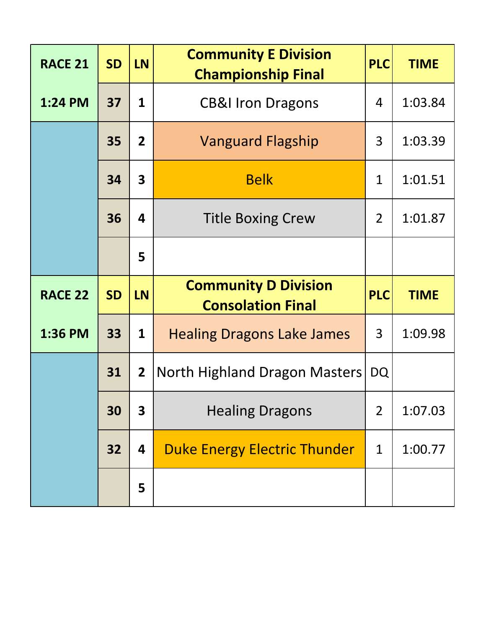| <b>RACE 21</b> | <b>SD</b> | <b>LN</b>               | <b>Community E Division</b><br><b>Championship Final</b> | <b>PLC</b>     | <b>TIME</b> |
|----------------|-----------|-------------------------|----------------------------------------------------------|----------------|-------------|
| 1:24 PM        | 37        | $\mathbf{1}$            | <b>CB&amp;I Iron Dragons</b>                             | 4              | 1:03.84     |
|                | 35        | 2 <sup>1</sup>          | <b>Vanguard Flagship</b>                                 | 3              | 1:03.39     |
|                | 34        | $\overline{\mathbf{3}}$ | <b>Belk</b>                                              | $\mathbf 1$    | 1:01.51     |
|                | 36        | 4                       | <b>Title Boxing Crew</b>                                 | $\overline{2}$ | 1:01.87     |
|                |           | 5                       |                                                          |                |             |
|                |           |                         |                                                          |                |             |
| <b>RACE 22</b> | <b>SD</b> | <b>LN</b>               | <b>Community D Division</b><br><b>Consolation Final</b>  | <b>PLC</b>     | <b>TIME</b> |
| 1:36 PM        | 33        | $\mathbf{1}$            | <b>Healing Dragons Lake James</b>                        | 3              | 1:09.98     |
|                | 31        | $\mathbf{2}$            | North Highland Dragon Masters                            | <b>DQ</b>      |             |
|                | 30        | 3                       | <b>Healing Dragons</b>                                   | $\overline{2}$ | 1:07.03     |
|                | 32        | 4                       | <b>Duke Energy Electric Thunder</b>                      | $\mathbf 1$    | 1:00.77     |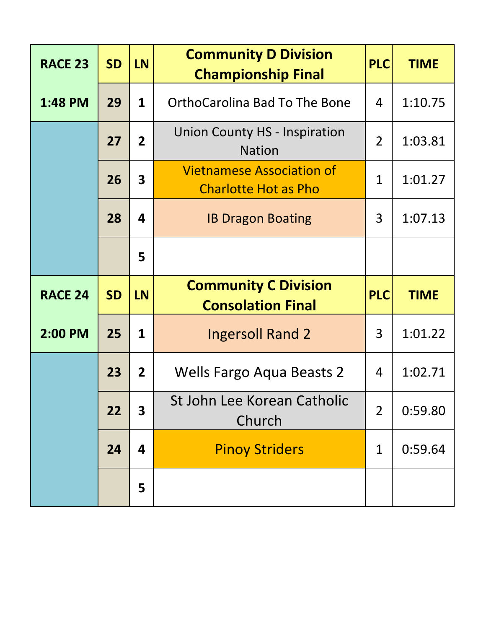| <b>RACE 23</b> | <b>SD</b> | <b>LN</b>               | <b>Community D Division</b><br><b>Championship Final</b>        | <b>PLC</b>     | <b>TIME</b> |
|----------------|-----------|-------------------------|-----------------------------------------------------------------|----------------|-------------|
| 1:48 PM        | 29        | $\mathbf{1}$            | <b>OrthoCarolina Bad To The Bone</b>                            | 4              | 1:10.75     |
|                | 27        | 2 <sup>1</sup>          | <b>Union County HS - Inspiration</b><br><b>Nation</b>           | $\overline{2}$ | 1:03.81     |
|                | 26        | $\overline{\mathbf{3}}$ | <b>Vietnamese Association of</b><br><b>Charlotte Hot as Pho</b> | $\overline{1}$ | 1:01.27     |
|                | 28        | 4                       | <b>IB Dragon Boating</b>                                        | 3              | 1:07.13     |
|                |           | 5                       |                                                                 |                |             |
|                |           |                         |                                                                 |                |             |
| <b>RACE 24</b> | <b>SD</b> | <b>LN</b>               | <b>Community C Division</b><br><b>Consolation Final</b>         | <b>PLC</b>     | <b>TIME</b> |
| 2:00 PM        | 25        | $\mathbf{1}$            | <b>Ingersoll Rand 2</b>                                         | 3              | 1:01.22     |
|                | 23        | $\overline{2}$          | Wells Fargo Aqua Beasts 2                                       | 4              | 1:02.71     |
|                | 22        | 3                       | St John Lee Korean Catholic<br>Church                           | $\overline{2}$ | 0:59.80     |
|                | 24        | 4                       | <b>Pinoy Striders</b>                                           | 1              | 0:59.64     |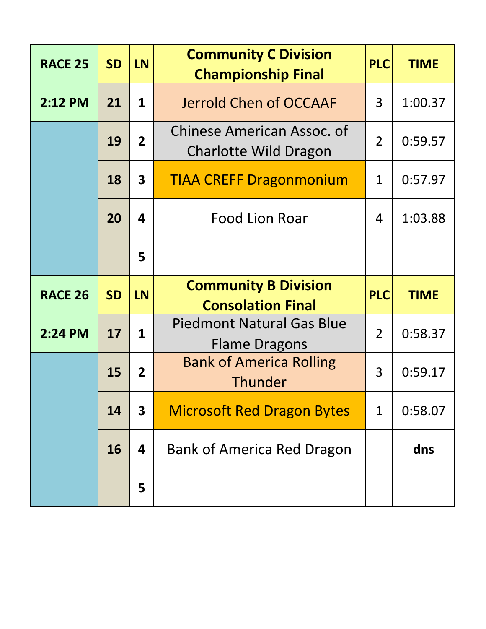| <b>RACE 25</b> | <b>SD</b> | <b>LN</b>               | <b>Community C Division</b><br><b>Championship Final</b>          | <b>PLC</b>     | <b>TIME</b> |
|----------------|-----------|-------------------------|-------------------------------------------------------------------|----------------|-------------|
| 2:12 PM        | 21        | $\mathbf{1}$            | Jerrold Chen of OCCAAF                                            | 3              | 1:00.37     |
|                | 19        | 2 <sup>1</sup>          | <b>Chinese American Assoc. of</b><br><b>Charlotte Wild Dragon</b> | $\overline{2}$ | 0:59.57     |
|                | 18        | $\overline{\mathbf{3}}$ | <b>TIAA CREFF Dragonmonium</b>                                    | $\mathbf{1}$   | 0:57.97     |
|                | 20        | 4                       | Food Lion Roar                                                    | $\overline{4}$ | 1:03.88     |
|                |           | 5                       |                                                                   |                |             |
|                |           |                         |                                                                   |                |             |
| <b>RACE 26</b> | <b>SD</b> | <b>LN</b>               | <b>Community B Division</b><br><b>Consolation Final</b>           | <b>PLC</b>     | <b>TIME</b> |
| 2:24 PM        | 17        | 1                       | Piedmont Natural Gas Blue<br><b>Flame Dragons</b>                 | $\overline{2}$ | 0:58.37     |
|                | 15        | $\overline{2}$          | <b>Bank of America Rolling</b><br>Thunder                         | 3              | 0:59.17     |
|                | 14        | $\overline{\mathbf{3}}$ | <b>Microsoft Red Dragon Bytes</b>                                 | $\mathbf 1$    | 0:58.07     |
|                | 16        | 4                       | <b>Bank of America Red Dragon</b>                                 |                | dns         |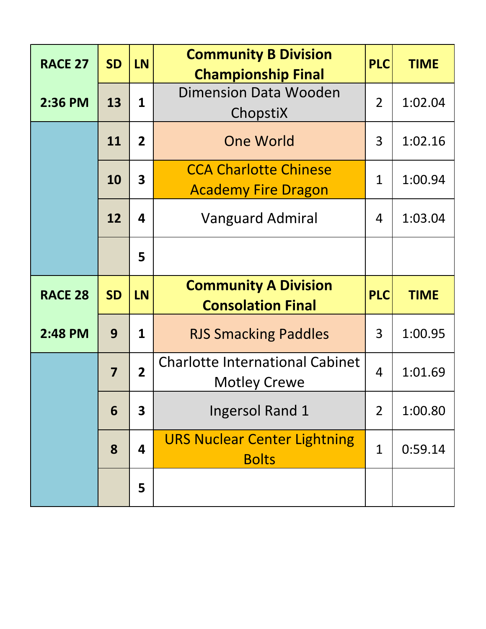| <b>RACE 27</b> | <b>SD</b>               | <b>LN</b>               | <b>Community B Division</b><br><b>Championship Final</b>      | <b>PLC</b>     | <b>TIME</b> |
|----------------|-------------------------|-------------------------|---------------------------------------------------------------|----------------|-------------|
| 2:36 PM        | 13                      | $\mathbf{1}$            | <b>Dimension Data Wooden</b><br>ChopstiX                      | $\overline{2}$ | 1:02.04     |
|                | 11                      | $\overline{2}$          | <b>One World</b>                                              | 3              | 1:02.16     |
|                | 10                      | $\overline{\mathbf{3}}$ | <b>CCA Charlotte Chinese</b><br><b>Academy Fire Dragon</b>    | 1              | 1:00.94     |
|                | 12                      | 4                       | <b>Vanguard Admiral</b>                                       | 4              | 1:03.04     |
|                |                         | 5                       |                                                               |                |             |
|                |                         |                         |                                                               |                |             |
| <b>RACE 28</b> | <b>SD</b>               | <b>LN</b>               | <b>Community A Division</b><br><b>Consolation Final</b>       | <b>PLC</b>     | <b>TIME</b> |
| 2:48 PM        | 9                       | $\mathbf{1}$            | <b>RJS Smacking Paddles</b>                                   | 3              | 1:00.95     |
|                | $\overline{\mathbf{z}}$ | $\overline{2}$          | <b>Charlotte International Cabinet</b><br><b>Motley Crewe</b> | $\overline{4}$ | 1:01.69     |
|                | 6                       | 3                       | <b>Ingersol Rand 1</b>                                        | $\overline{2}$ | 1:00.80     |
|                | 8                       | 4                       | <b>URS Nuclear Center Lightning</b><br><b>Bolts</b>           | $\mathbf{1}$   | 0:59.14     |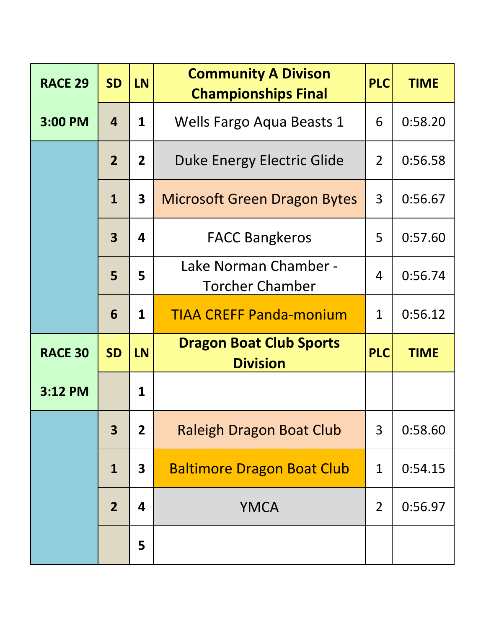| <b>RACE 29</b> | <b>SD</b>               | <b>LN</b>               | <b>Community A Divison</b><br><b>Championships Final</b> | <b>PLC</b>     | <b>TIME</b> |
|----------------|-------------------------|-------------------------|----------------------------------------------------------|----------------|-------------|
| 3:00 PM        | 4                       | $\mathbf{1}$            | Wells Fargo Aqua Beasts 1                                | 6              | 0:58.20     |
|                | $\overline{2}$          | 2 <sup>1</sup>          | Duke Energy Electric Glide                               | $\overline{2}$ | 0:56.58     |
|                | 1                       | $\overline{\mathbf{3}}$ | <b>Microsoft Green Dragon Bytes</b>                      | 3              | 0:56.67     |
|                | $\overline{\mathbf{3}}$ | 4                       | <b>FACC Bangkeros</b>                                    | 5              | 0:57.60     |
|                | 5                       | 5                       | Lake Norman Chamber -<br><b>Torcher Chamber</b>          | $\overline{4}$ | 0:56.74     |
|                | 6                       | $\mathbf{1}$            | <b>TIAA CREFF Panda-monium</b>                           | $\mathbf{1}$   | 0:56.12     |
| <b>RACE 30</b> | <b>SD</b>               | <b>LN</b>               | <b>Dragon Boat Club Sports</b><br><b>Division</b>        | <b>PLC</b>     | <b>TIME</b> |
| 3:12 PM        |                         | $\mathbf{1}$            |                                                          |                |             |
|                | 3                       | $\overline{2}$          | <b>Raleigh Dragon Boat Club</b>                          | 3              | 0:58.60     |
|                | $\mathbf{1}$            | $\mathbf{3}$            | <b>Baltimore Dragon Boat Club</b>                        | $\mathbf 1$    | 0:54.15     |
|                | $\overline{2}$          | 4                       | <b>YMCA</b>                                              | $\overline{2}$ | 0:56.97     |
|                |                         | 5                       |                                                          |                |             |